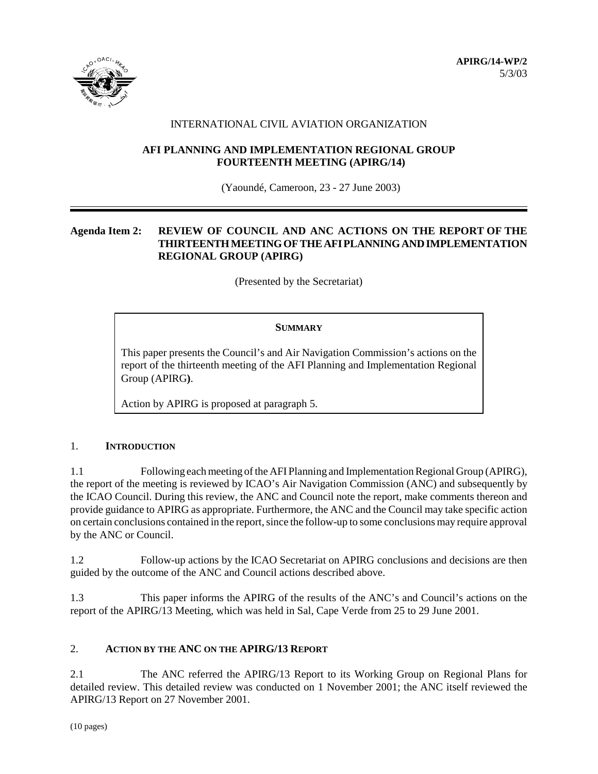

# INTERNATIONAL CIVIL AVIATION ORGANIZATION

# **AFI PLANNING AND IMPLEMENTATION REGIONAL GROUP FOURTEENTH MEETING (APIRG/14)**

(Yaoundé, Cameroon, 23 - 27 June 2003)

# **Agenda Item 2: REVIEW OF COUNCIL AND ANC ACTIONS ON THE REPORT OF THE THIRTEENTH MEETING OF THE AFI PLANNING AND IMPLEMENTATION REGIONAL GROUP (APIRG)**

(Presented by the Secretariat)

# **SUMMARY**

This paper presents the Council's and Air Navigation Commission's actions on the report of the thirteenth meeting of the AFI Planning and Implementation Regional Group (APIRG**)**.

Action by APIRG is proposed at paragraph 5.

# 1. **INTRODUCTION**

1.1 Following each meeting of the AFI Planning and Implementation Regional Group (APIRG), the report of the meeting is reviewed by ICAO's Air Navigation Commission (ANC) and subsequently by the ICAO Council. During this review, the ANC and Council note the report, make comments thereon and provide guidance to APIRG as appropriate. Furthermore, the ANC and the Council may take specific action on certain conclusions contained in the report, since the follow-up to some conclusions may require approval by the ANC or Council.

1.2 Follow-up actions by the ICAO Secretariat on APIRG conclusions and decisions are then guided by the outcome of the ANC and Council actions described above.

1.3 This paper informs the APIRG of the results of the ANC's and Council's actions on the report of the APIRG/13 Meeting, which was held in Sal, Cape Verde from 25 to 29 June 2001.

# 2. **ACTION BY THE ANC ON THE APIRG/13 REPORT**

2.1 The ANC referred the APIRG/13 Report to its Working Group on Regional Plans for detailed review. This detailed review was conducted on 1 November 2001; the ANC itself reviewed the APIRG/13 Report on 27 November 2001.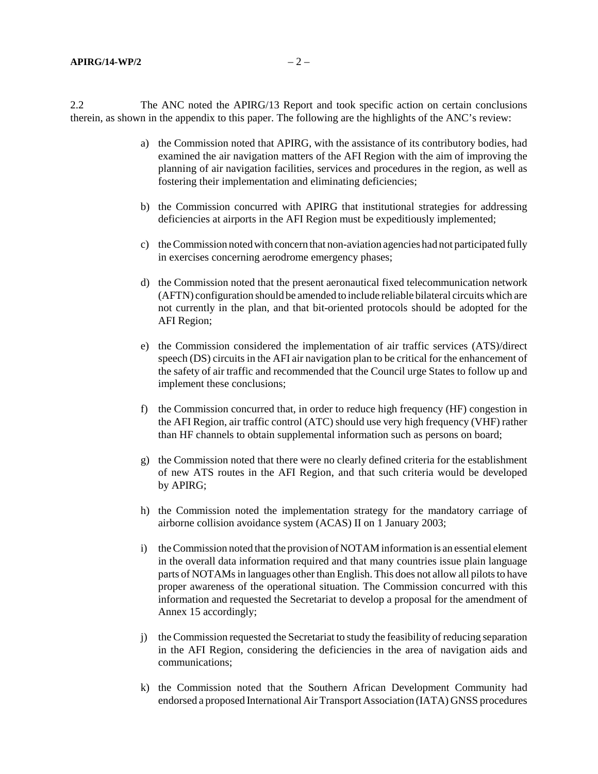2.2 The ANC noted the APIRG/13 Report and took specific action on certain conclusions therein, as shown in the appendix to this paper. The following are the highlights of the ANC's review:

- a) the Commission noted that APIRG, with the assistance of its contributory bodies, had examined the air navigation matters of the AFI Region with the aim of improving the planning of air navigation facilities, services and procedures in the region, as well as fostering their implementation and eliminating deficiencies;
- b) the Commission concurred with APIRG that institutional strategies for addressing deficiencies at airports in the AFI Region must be expeditiously implemented;
- c) the Commission noted with concern that non-aviation agencies had not participated fully in exercises concerning aerodrome emergency phases;
- d) the Commission noted that the present aeronautical fixed telecommunication network (AFTN) configuration should be amended to include reliable bilateral circuits which are not currently in the plan, and that bit-oriented protocols should be adopted for the AFI Region;
- e) the Commission considered the implementation of air traffic services (ATS)/direct speech (DS) circuits in the AFI air navigation plan to be critical for the enhancement of the safety of air traffic and recommended that the Council urge States to follow up and implement these conclusions;
- f) the Commission concurred that, in order to reduce high frequency (HF) congestion in the AFI Region, air traffic control (ATC) should use very high frequency (VHF) rather than HF channels to obtain supplemental information such as persons on board;
- g) the Commission noted that there were no clearly defined criteria for the establishment of new ATS routes in the AFI Region, and that such criteria would be developed by APIRG;
- h) the Commission noted the implementation strategy for the mandatory carriage of airborne collision avoidance system (ACAS) II on 1 January 2003;
- i) the Commission noted that the provision of NOTAM information is an essential element in the overall data information required and that many countries issue plain language parts of NOTAMs in languages other than English. This does not allow all pilots to have proper awareness of the operational situation. The Commission concurred with this information and requested the Secretariat to develop a proposal for the amendment of Annex 15 accordingly;
- j) the Commission requested the Secretariat to study the feasibility of reducing separation in the AFI Region, considering the deficiencies in the area of navigation aids and communications;
- k) the Commission noted that the Southern African Development Community had endorsed a proposed International Air Transport Association (IATA) GNSS procedures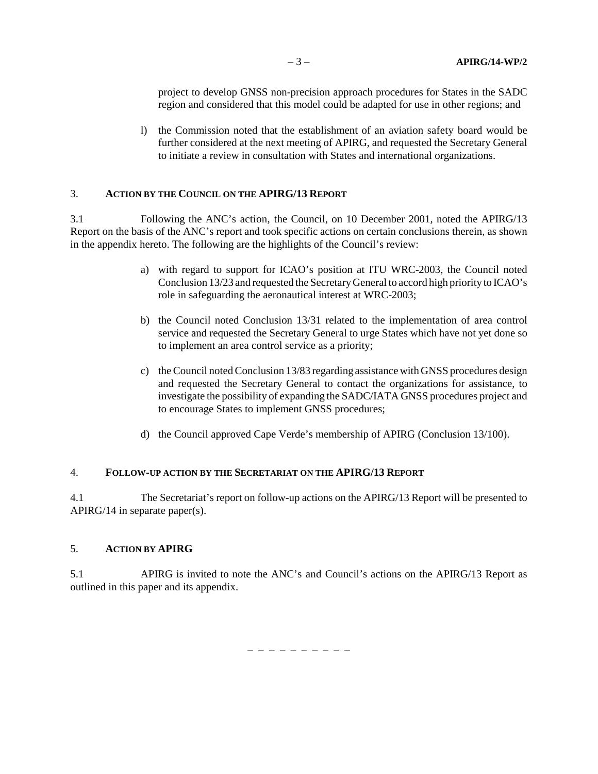project to develop GNSS non-precision approach procedures for States in the SADC region and considered that this model could be adapted for use in other regions; and

l) the Commission noted that the establishment of an aviation safety board would be further considered at the next meeting of APIRG, and requested the Secretary General to initiate a review in consultation with States and international organizations.

#### 3. **ACTION BY THE COUNCIL ON THE APIRG/13 REPORT**

3.1 Following the ANC's action, the Council, on 10 December 2001, noted the APIRG/13 Report on the basis of the ANC's report and took specific actions on certain conclusions therein, as shown in the appendix hereto. The following are the highlights of the Council's review:

- a) with regard to support for ICAO's position at ITU WRC-2003, the Council noted Conclusion 13/23 and requested the Secretary General to accord high priority to ICAO's role in safeguarding the aeronautical interest at WRC-2003;
- b) the Council noted Conclusion 13/31 related to the implementation of area control service and requested the Secretary General to urge States which have not yet done so to implement an area control service as a priority;
- c) the Council noted Conclusion 13/83 regarding assistance with GNSS procedures design and requested the Secretary General to contact the organizations for assistance, to investigate the possibility of expanding the SADC/IATA GNSS procedures project and to encourage States to implement GNSS procedures;
- d) the Council approved Cape Verde's membership of APIRG (Conclusion 13/100).

# 4. **FOLLOW-UP ACTION BY THE SECRETARIAT ON THE APIRG/13 REPORT**

4.1 The Secretariat's report on follow-up actions on the APIRG/13 Report will be presented to APIRG/14 in separate paper(s).

# 5. **ACTION BY APIRG**

5.1 APIRG is invited to note the ANC's and Council's actions on the APIRG/13 Report as outlined in this paper and its appendix.

– – – – – – – – – –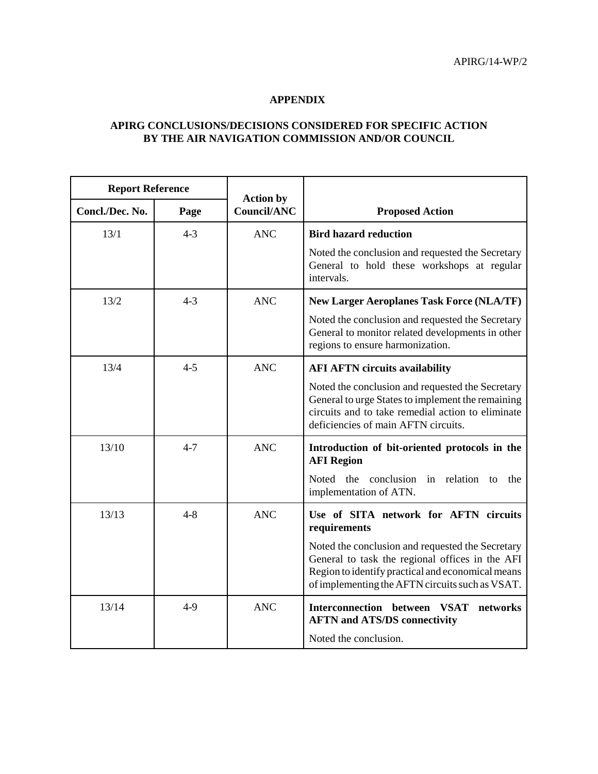# **APPENDIX**

# **APIRG CONCLUSIONS/DECISIONS CONSIDERED FOR SPECIFIC ACTION BY THE AIR NAVIGATION COMMISSION AND/OR COUNCIL**

| <b>Report Reference</b> |         |                                        |                                                                                                                                                                                                             |  |
|-------------------------|---------|----------------------------------------|-------------------------------------------------------------------------------------------------------------------------------------------------------------------------------------------------------------|--|
| Concl./Dec. No.         | Page    | <b>Action by</b><br><b>Council/ANC</b> | <b>Proposed Action</b>                                                                                                                                                                                      |  |
| 13/1                    | $4 - 3$ | <b>ANC</b>                             | <b>Bird hazard reduction</b>                                                                                                                                                                                |  |
|                         |         |                                        | Noted the conclusion and requested the Secretary<br>General to hold these workshops at regular<br>intervals.                                                                                                |  |
| 13/2                    | $4 - 3$ | <b>ANC</b>                             | <b>New Larger Aeroplanes Task Force (NLA/TF)</b>                                                                                                                                                            |  |
|                         |         |                                        | Noted the conclusion and requested the Secretary<br>General to monitor related developments in other<br>regions to ensure harmonization.                                                                    |  |
| 13/4                    | $4 - 5$ | <b>ANC</b>                             | <b>AFI AFTN circuits availability</b>                                                                                                                                                                       |  |
|                         |         |                                        | Noted the conclusion and requested the Secretary<br>General to urge States to implement the remaining<br>circuits and to take remedial action to eliminate<br>deficiencies of main AFTN circuits.           |  |
| 13/10                   | $4 - 7$ | <b>ANC</b>                             | Introduction of bit-oriented protocols in the<br><b>AFI Region</b><br>Noted the conclusion in relation<br>to<br>the<br>implementation of ATN.                                                               |  |
| 13/13                   | $4 - 8$ | <b>ANC</b>                             | Use of SITA network for AFTN circuits<br>requirements                                                                                                                                                       |  |
|                         |         |                                        | Noted the conclusion and requested the Secretary<br>General to task the regional offices in the AFI<br>Region to identify practical and economical means<br>of implementing the AFTN circuits such as VSAT. |  |
| 13/14                   | $4-9$   | <b>ANC</b>                             | Interconnection between VSAT<br>networks<br><b>AFTN and ATS/DS connectivity</b>                                                                                                                             |  |
|                         |         |                                        | Noted the conclusion.                                                                                                                                                                                       |  |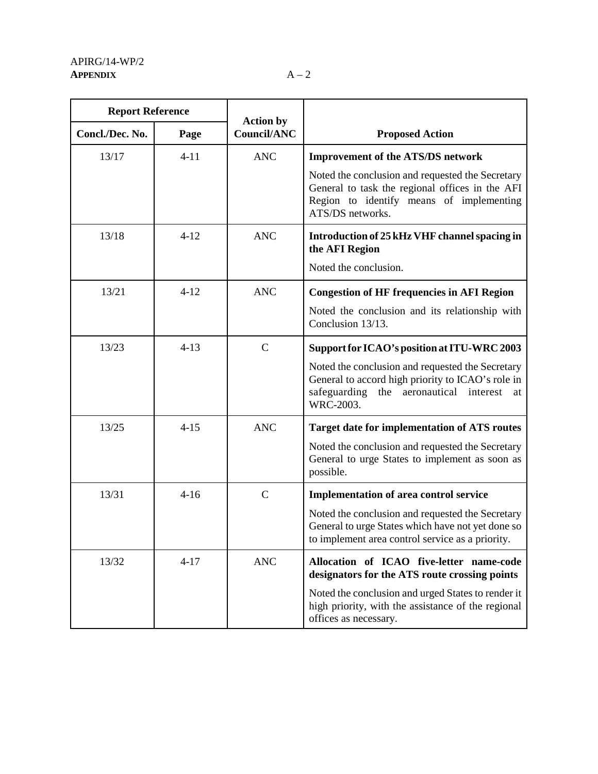| <b>Report Reference</b> |          |                                        |                                                                                                                                                                             |  |
|-------------------------|----------|----------------------------------------|-----------------------------------------------------------------------------------------------------------------------------------------------------------------------------|--|
| Concl./Dec. No.         | Page     | <b>Action by</b><br><b>Council/ANC</b> | <b>Proposed Action</b>                                                                                                                                                      |  |
| 13/17                   | $4 - 11$ | <b>ANC</b>                             | <b>Improvement of the ATS/DS network</b>                                                                                                                                    |  |
|                         |          |                                        | Noted the conclusion and requested the Secretary<br>General to task the regional offices in the AFI<br>Region to identify means of implementing<br>ATS/DS networks.         |  |
| 13/18                   | $4 - 12$ | <b>ANC</b>                             | Introduction of 25 kHz VHF channel spacing in<br>the AFI Region                                                                                                             |  |
|                         |          |                                        | Noted the conclusion.                                                                                                                                                       |  |
| 13/21                   | $4 - 12$ | <b>ANC</b>                             | <b>Congestion of HF frequencies in AFI Region</b>                                                                                                                           |  |
|                         |          |                                        | Noted the conclusion and its relationship with<br>Conclusion 13/13.                                                                                                         |  |
| 13/23                   | $4 - 13$ | $\mathbf C$                            | Support for ICAO's position at ITU-WRC 2003                                                                                                                                 |  |
|                         |          |                                        | Noted the conclusion and requested the Secretary<br>General to accord high priority to ICAO's role in<br>safeguarding<br>aeronautical<br>interest<br>the<br>at<br>WRC-2003. |  |
| 13/25                   | $4 - 15$ | <b>ANC</b>                             | <b>Target date for implementation of ATS routes</b>                                                                                                                         |  |
|                         |          |                                        | Noted the conclusion and requested the Secretary<br>General to urge States to implement as soon as<br>possible.                                                             |  |
| 13/31                   | $4-16$   | $\mathbf C$                            | <b>Implementation of area control service</b>                                                                                                                               |  |
|                         |          |                                        | Noted the conclusion and requested the Secretary<br>General to urge States which have not yet done so<br>to implement area control service as a priority.                   |  |
| 13/32                   | $4 - 17$ | <b>ANC</b>                             | Allocation of ICAO five-letter name-code<br>designators for the ATS route crossing points                                                                                   |  |
|                         |          |                                        | Noted the conclusion and urged States to render it<br>high priority, with the assistance of the regional<br>offices as necessary.                                           |  |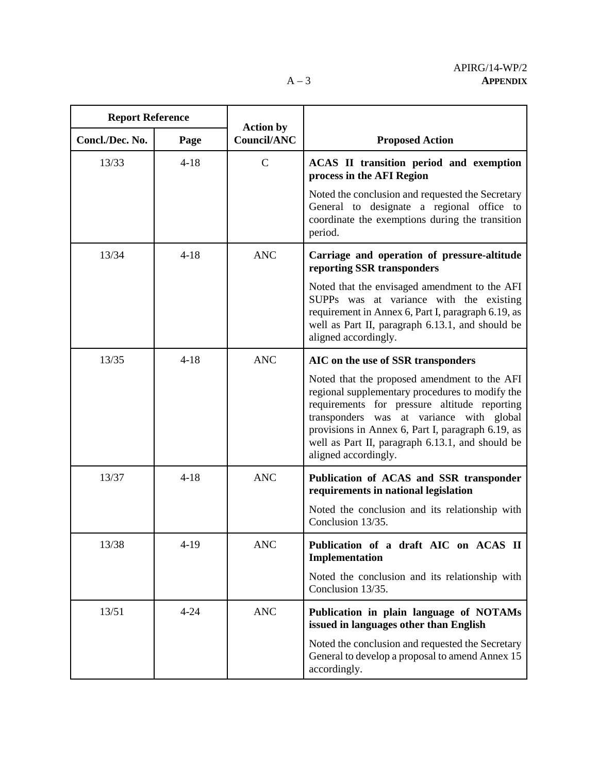$\overline{\phantom{0}}$ 

| <b>Report Reference</b> |          | <b>Action by</b> |                                                                                                                                                                                                                                                                                                                              |
|-------------------------|----------|------------------|------------------------------------------------------------------------------------------------------------------------------------------------------------------------------------------------------------------------------------------------------------------------------------------------------------------------------|
| Concl./Dec. No.         | Page     | Council/ANC      | <b>Proposed Action</b>                                                                                                                                                                                                                                                                                                       |
| 13/33                   | $4 - 18$ | $\mathcal{C}$    | ACAS II transition period and exemption<br>process in the AFI Region                                                                                                                                                                                                                                                         |
|                         |          |                  | Noted the conclusion and requested the Secretary<br>General to designate a regional office to<br>coordinate the exemptions during the transition<br>period.                                                                                                                                                                  |
| 13/34                   | $4 - 18$ | <b>ANC</b>       | Carriage and operation of pressure-altitude<br>reporting SSR transponders                                                                                                                                                                                                                                                    |
|                         |          |                  | Noted that the envisaged amendment to the AFI<br>SUPPs was at variance with the existing<br>requirement in Annex 6, Part I, paragraph 6.19, as<br>well as Part II, paragraph 6.13.1, and should be<br>aligned accordingly.                                                                                                   |
| 13/35                   | $4 - 18$ | <b>ANC</b>       | AIC on the use of SSR transponders                                                                                                                                                                                                                                                                                           |
|                         |          |                  | Noted that the proposed amendment to the AFI<br>regional supplementary procedures to modify the<br>requirements for pressure altitude reporting<br>transponders was at variance with global<br>provisions in Annex 6, Part I, paragraph 6.19, as<br>well as Part II, paragraph 6.13.1, and should be<br>aligned accordingly. |
| 13/37                   | $4 - 18$ | <b>ANC</b>       | Publication of ACAS and SSR transponder<br>requirements in national legislation                                                                                                                                                                                                                                              |
|                         |          |                  | Noted the conclusion and its relationship with<br>Conclusion 13/35.                                                                                                                                                                                                                                                          |
| 13/38                   | $4-19$   | <b>ANC</b>       | Publication of a draft AIC on ACAS II<br>Implementation                                                                                                                                                                                                                                                                      |
|                         |          |                  | Noted the conclusion and its relationship with<br>Conclusion 13/35.                                                                                                                                                                                                                                                          |
| 13/51                   | $4 - 24$ | <b>ANC</b>       | Publication in plain language of NOTAMs<br>issued in languages other than English                                                                                                                                                                                                                                            |
|                         |          |                  | Noted the conclusion and requested the Secretary<br>General to develop a proposal to amend Annex 15<br>accordingly.                                                                                                                                                                                                          |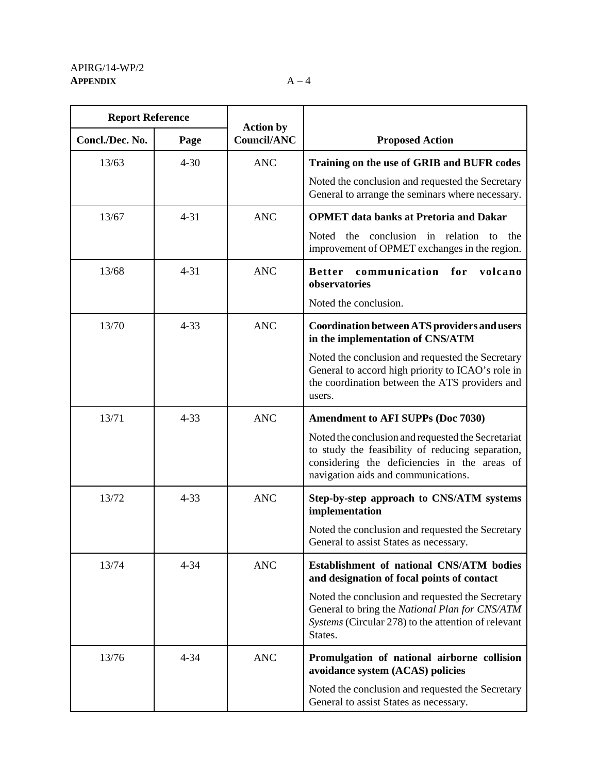| <b>Report Reference</b> |          |                                        |                                                                                                                                                                                               |
|-------------------------|----------|----------------------------------------|-----------------------------------------------------------------------------------------------------------------------------------------------------------------------------------------------|
| Concl./Dec. No.         | Page     | <b>Action by</b><br><b>Council/ANC</b> | <b>Proposed Action</b>                                                                                                                                                                        |
| 13/63                   | $4 - 30$ | <b>ANC</b>                             | Training on the use of GRIB and BUFR codes                                                                                                                                                    |
|                         |          |                                        | Noted the conclusion and requested the Secretary<br>General to arrange the seminars where necessary.                                                                                          |
| 13/67                   | $4 - 31$ | <b>ANC</b>                             | <b>OPMET</b> data banks at Pretoria and Dakar                                                                                                                                                 |
|                         |          |                                        | the<br>conclusion in relation<br>Noted<br>to<br>the<br>improvement of OPMET exchanges in the region.                                                                                          |
| 13/68                   | $4 - 31$ | <b>ANC</b>                             | communication<br>for<br>volcano<br><b>Better</b><br>observatories                                                                                                                             |
|                         |          |                                        | Noted the conclusion.                                                                                                                                                                         |
| 13/70                   | $4 - 33$ | <b>ANC</b>                             | Coordination between ATS providers and users<br>in the implementation of CNS/ATM                                                                                                              |
|                         |          |                                        | Noted the conclusion and requested the Secretary<br>General to accord high priority to ICAO's role in<br>the coordination between the ATS providers and<br>users.                             |
| 13/71                   | $4 - 33$ | <b>ANC</b>                             | <b>Amendment to AFI SUPPs (Doc 7030)</b>                                                                                                                                                      |
|                         |          |                                        | Noted the conclusion and requested the Secretariat<br>to study the feasibility of reducing separation,<br>considering the deficiencies in the areas of<br>navigation aids and communications. |
| 13/72                   | $4 - 33$ | <b>ANC</b>                             | Step-by-step approach to CNS/ATM systems<br>implementation                                                                                                                                    |
|                         |          |                                        | Noted the conclusion and requested the Secretary<br>General to assist States as necessary.                                                                                                    |
| 13/74                   | $4 - 34$ | <b>ANC</b>                             | <b>Establishment of national CNS/ATM bodies</b><br>and designation of focal points of contact                                                                                                 |
|                         |          |                                        | Noted the conclusion and requested the Secretary<br>General to bring the National Plan for CNS/ATM<br>Systems (Circular 278) to the attention of relevant<br>States.                          |
| 13/76                   | $4 - 34$ | <b>ANC</b>                             | Promulgation of national airborne collision<br>avoidance system (ACAS) policies                                                                                                               |
|                         |          |                                        | Noted the conclusion and requested the Secretary<br>General to assist States as necessary.                                                                                                    |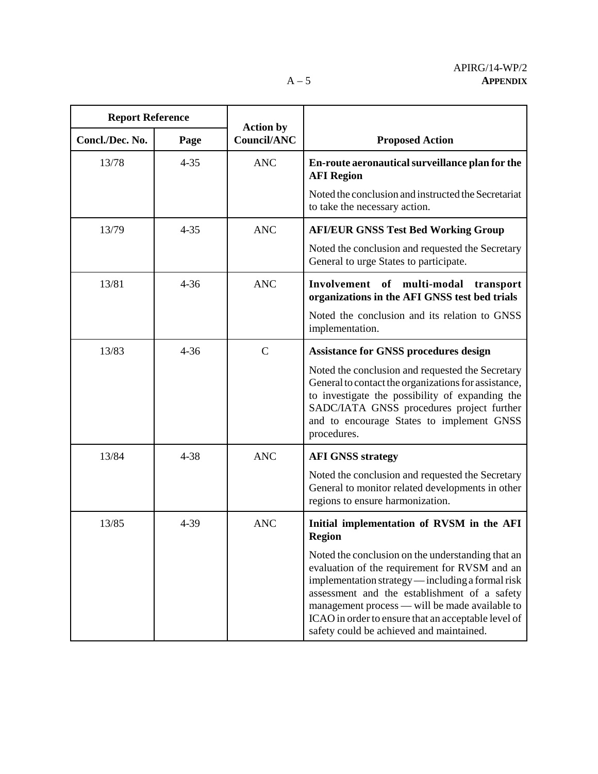| <b>Report Reference</b> |          |                                        |                                                                                                                                                                                                                                                                                                                                                              |
|-------------------------|----------|----------------------------------------|--------------------------------------------------------------------------------------------------------------------------------------------------------------------------------------------------------------------------------------------------------------------------------------------------------------------------------------------------------------|
| Concl./Dec. No.         | Page     | <b>Action by</b><br><b>Council/ANC</b> | <b>Proposed Action</b>                                                                                                                                                                                                                                                                                                                                       |
| 13/78                   | $4 - 35$ | <b>ANC</b>                             | En-route aeronautical surveillance plan for the<br><b>AFI</b> Region                                                                                                                                                                                                                                                                                         |
|                         |          |                                        | Noted the conclusion and instructed the Secretariat<br>to take the necessary action.                                                                                                                                                                                                                                                                         |
| 13/79                   | $4 - 35$ | <b>ANC</b>                             | <b>AFI/EUR GNSS Test Bed Working Group</b>                                                                                                                                                                                                                                                                                                                   |
|                         |          |                                        | Noted the conclusion and requested the Secretary<br>General to urge States to participate.                                                                                                                                                                                                                                                                   |
| 13/81                   | $4 - 36$ | <b>ANC</b>                             | Involvement of multi-modal<br>transport<br>organizations in the AFI GNSS test bed trials                                                                                                                                                                                                                                                                     |
|                         |          |                                        | Noted the conclusion and its relation to GNSS<br>implementation.                                                                                                                                                                                                                                                                                             |
| 13/83                   | $4 - 36$ | $\mathcal{C}$                          | <b>Assistance for GNSS procedures design</b>                                                                                                                                                                                                                                                                                                                 |
|                         |          |                                        | Noted the conclusion and requested the Secretary<br>General to contact the organizations for assistance,<br>to investigate the possibility of expanding the<br>SADC/IATA GNSS procedures project further<br>and to encourage States to implement GNSS<br>procedures.                                                                                         |
| 13/84                   | $4 - 38$ | <b>ANC</b>                             | <b>AFI GNSS strategy</b>                                                                                                                                                                                                                                                                                                                                     |
|                         |          |                                        | Noted the conclusion and requested the Secretary<br>General to monitor related developments in other<br>regions to ensure harmonization.                                                                                                                                                                                                                     |
| 13/85                   | 4-39     | <b>ANC</b>                             | Initial implementation of RVSM in the AFI<br><b>Region</b>                                                                                                                                                                                                                                                                                                   |
|                         |          |                                        | Noted the conclusion on the understanding that an<br>evaluation of the requirement for RVSM and an<br>implementation strategy — including a formal risk<br>assessment and the establishment of a safety<br>management process — will be made available to<br>ICAO in order to ensure that an acceptable level of<br>safety could be achieved and maintained. |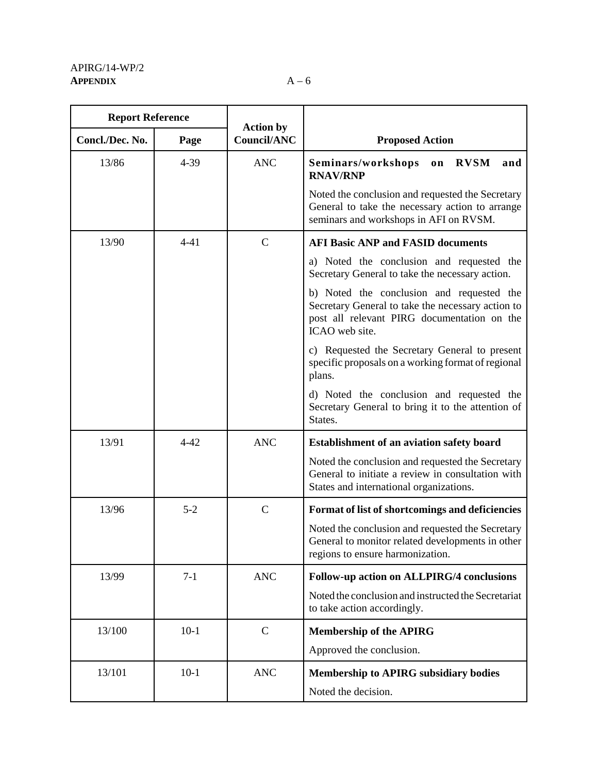| <b>Report Reference</b> |          |                                        |                                                                                                                                                                 |
|-------------------------|----------|----------------------------------------|-----------------------------------------------------------------------------------------------------------------------------------------------------------------|
| Concl./Dec. No.         | Page     | <b>Action by</b><br><b>Council/ANC</b> | <b>Proposed Action</b>                                                                                                                                          |
| 13/86                   | 4-39     | <b>ANC</b>                             | <b>RVSM</b><br>Seminars/workshops<br>and<br>on<br><b>RNAV/RNP</b>                                                                                               |
|                         |          |                                        | Noted the conclusion and requested the Secretary<br>General to take the necessary action to arrange<br>seminars and workshops in AFI on RVSM.                   |
| 13/90                   | $4 - 41$ | $\mathcal{C}$                          | <b>AFI Basic ANP and FASID documents</b>                                                                                                                        |
|                         |          |                                        | a) Noted the conclusion and requested the<br>Secretary General to take the necessary action.                                                                    |
|                         |          |                                        | b) Noted the conclusion and requested the<br>Secretary General to take the necessary action to<br>post all relevant PIRG documentation on the<br>ICAO web site. |
|                         |          |                                        | c) Requested the Secretary General to present<br>specific proposals on a working format of regional<br>plans.                                                   |
|                         |          |                                        | d) Noted the conclusion and requested the<br>Secretary General to bring it to the attention of<br>States.                                                       |
| 13/91                   | $4 - 42$ | <b>ANC</b>                             | <b>Establishment of an aviation safety board</b>                                                                                                                |
|                         |          |                                        | Noted the conclusion and requested the Secretary<br>General to initiate a review in consultation with<br>States and international organizations.                |
| 13/96                   | $5 - 2$  | $\mathbf C$                            | Format of list of shortcomings and deficiencies                                                                                                                 |
|                         |          |                                        | Noted the conclusion and requested the Secretary<br>General to monitor related developments in other<br>regions to ensure harmonization.                        |
| 13/99                   | $7-1$    | <b>ANC</b>                             | Follow-up action on ALLPIRG/4 conclusions                                                                                                                       |
|                         |          |                                        | Noted the conclusion and instructed the Secretariat<br>to take action accordingly.                                                                              |
| 13/100                  | $10-1$   | $\mathbf C$                            | <b>Membership of the APIRG</b>                                                                                                                                  |
|                         |          |                                        | Approved the conclusion.                                                                                                                                        |
| 13/101                  | $10-1$   | <b>ANC</b>                             | <b>Membership to APIRG subsidiary bodies</b>                                                                                                                    |
|                         |          |                                        | Noted the decision.                                                                                                                                             |